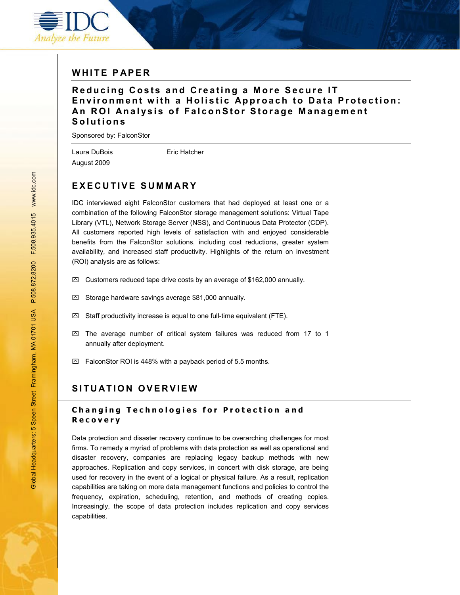

## **WHITE PAPER**

### **Reducing Costs and Creating a More Secure IT Environment with a Holistic Approach to Data Protection: An ROI Analysis of FalconStor Storage Management Solutions**

Sponsored by: FalconStor

August 2009

Laura DuBois **Eric Hatcher** 

# **EXECUTIVE SUMMARY**

IDC interviewed eight FalconStor customers that had deployed at least one or a combination of the following FalconStor storage management solutions: Virtual Tape Library (VTL), Network Storage Server (NSS), and Continuous Data Protector (CDP). All customers reported high levels of satisfaction with and enjoyed considerable benefits from the FalconStor solutions, including cost reductions, greater system availability, and increased staff productivity. Highlights of the return on investment (ROI) analysis are as follows:

- $\boxtimes$  Customers reduced tape drive costs by an average of \$162,000 annually.
- $\boxtimes$  Storage hardware savings average \$81,000 annually.
- $\boxtimes$  Staff productivity increase is equal to one full-time equivalent (FTE).
- $\boxtimes$  The average number of critical system failures was reduced from 17 to 1 annually after deployment.
- $\boxtimes$  FalconStor ROI is 448% with a payback period of 5.5 months.

## **SITUATION OVERVIEW**

### **Changing Technologies for Protection and Recovery**

Data protection and disaster recovery continue to be overarching challenges for most firms. To remedy a myriad of problems with data protection as well as operational and disaster recovery, companies are replacing legacy backup methods with new approaches. Replication and copy services, in concert with disk storage, are being used for recovery in the event of a logical or physical failure. As a result, replication capabilities are taking on more data management functions and policies to control the frequency, expiration, scheduling, retention, and methods of creating copies. Increasingly, the scope of data protection includes replication and copy services capabilities.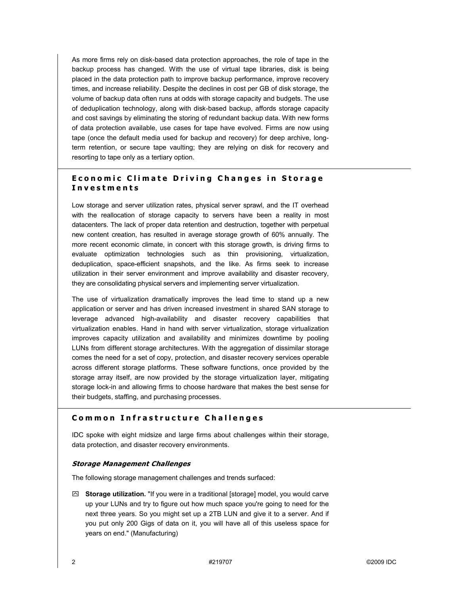As more firms rely on disk-based data protection approaches, the role of tape in the backup process has changed. With the use of virtual tape libraries, disk is being placed in the data protection path to improve backup performance, improve recovery times, and increase reliability. Despite the declines in cost per GB of disk storage, the volume of backup data often runs at odds with storage capacity and budgets. The use of deduplication technology, along with disk-based backup, affords storage capacity and cost savings by eliminating the storing of redundant backup data. With new forms of data protection available, use cases for tape have evolved. Firms are now using tape (once the default media used for backup and recovery) for deep archive, longterm retention, or secure tape vaulting; they are relying on disk for recovery and resorting to tape only as a tertiary option.

### **Economic Climate Driving Changes in Storage Investments**

Low storage and server utilization rates, physical server sprawl, and the IT overhead with the reallocation of storage capacity to servers have been a reality in most datacenters. The lack of proper data retention and destruction, together with perpetual new content creation, has resulted in average storage growth of 60% annually. The more recent economic climate, in concert with this storage growth, is driving firms to evaluate optimization technologies such as thin provisioning, virtualization, deduplication, space-efficient snapshots, and the like. As firms seek to increase utilization in their server environment and improve availability and disaster recovery, they are consolidating physical servers and implementing server virtualization.

The use of virtualization dramatically improves the lead time to stand up a new application or server and has driven increased investment in shared SAN storage to leverage advanced high-availability and disaster recovery capabilities that virtualization enables. Hand in hand with server virtualization, storage virtualization improves capacity utilization and availability and minimizes downtime by pooling LUNs from different storage architectures. With the aggregation of dissimilar storage comes the need for a set of copy, protection, and disaster recovery services operable across different storage platforms. These software functions, once provided by the storage array itself, are now provided by the storage virtualization layer, mitigating storage lock-in and allowing firms to choose hardware that makes the best sense for their budgets, staffing, and purchasing processes.

#### **Common Infrastructure Challenges**

IDC spoke with eight midsize and large firms about challenges within their storage, data protection, and disaster recovery environments.

#### **Storage Management Challenges**

The following storage management challenges and trends surfaced:

` **Storage utilization.** "If you were in a traditional [storage] model, you would carve up your LUNs and try to figure out how much space you're going to need for the next three years. So you might set up a 2TB LUN and give it to a server. And if you put only 200 Gigs of data on it, you will have all of this useless space for years on end." (Manufacturing)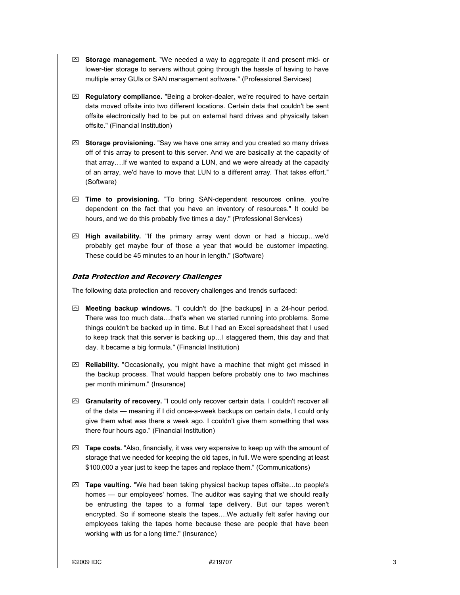- $\boxtimes$  **Storage management.** "We needed a way to aggregate it and present mid- or lower-tier storage to servers without going through the hassle of having to have multiple array GUIs or SAN management software." (Professional Services)
- $\boxtimes$  **Regulatory compliance.** "Being a broker-dealer, we're required to have certain data moved offsite into two different locations. Certain data that couldn't be sent offsite electronically had to be put on external hard drives and physically taken offsite." (Financial Institution)
- $\boxtimes$  **Storage provisioning.** "Say we have one array and you created so many drives off of this array to present to this server. And we are basically at the capacity of that array….If we wanted to expand a LUN, and we were already at the capacity of an array, we'd have to move that LUN to a different array. That takes effort." (Software)
- ` **Time to provisioning.** "To bring SAN-dependent resources online, you're dependent on the fact that you have an inventory of resources." It could be hours, and we do this probably five times a day." (Professional Services)
- $\boxtimes$  **High availability.** "If the primary array went down or had a hiccup...we'd probably get maybe four of those a year that would be customer impacting. These could be 45 minutes to an hour in length." (Software)

#### **Data Protection and Recovery Challenges**

The following data protection and recovery challenges and trends surfaced:

- $\boxtimes$  **Meeting backup windows.** "I couldn't do [the backups] in a 24-hour period. There was too much data…that's when we started running into problems. Some things couldn't be backed up in time. But I had an Excel spreadsheet that I used to keep track that this server is backing up…I staggered them, this day and that day. It became a big formula." (Financial Institution)
- $\boxtimes$  **Reliability.** "Occasionally, you might have a machine that might get missed in the backup process. That would happen before probably one to two machines per month minimum." (Insurance)
- $\boxtimes$  **Granularity of recovery.** "I could only recover certain data. I couldn't recover all of the data — meaning if I did once-a-week backups on certain data, I could only give them what was there a week ago. I couldn't give them something that was there four hours ago." (Financial Institution)
- $\boxtimes$  **Tape costs.** "Also, financially, it was very expensive to keep up with the amount of storage that we needed for keeping the old tapes, in full. We were spending at least \$100,000 a year just to keep the tapes and replace them." (Communications)
- ` **Tape vaulting.** "We had been taking physical backup tapes offsite…to people's homes — our employees' homes. The auditor was saying that we should really be entrusting the tapes to a formal tape delivery. But our tapes weren't encrypted. So if someone steals the tapes….We actually felt safer having our employees taking the tapes home because these are people that have been working with us for a long time." (Insurance)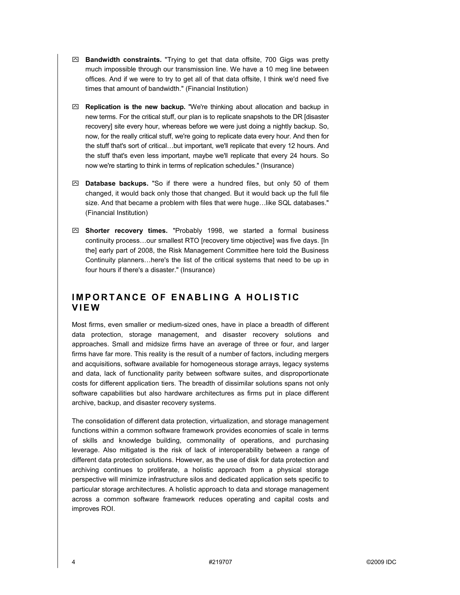- $\boxtimes$  **Bandwidth constraints.** "Trying to get that data offsite, 700 Gigs was pretty much impossible through our transmission line. We have a 10 meg line between offices. And if we were to try to get all of that data offsite, I think we'd need five times that amount of bandwidth." (Financial Institution)
- ` **Replication is the new backup.** "We're thinking about allocation and backup in new terms. For the critical stuff, our plan is to replicate snapshots to the DR [disaster recovery] site every hour, whereas before we were just doing a nightly backup. So, now, for the really critical stuff, we're going to replicate data every hour. And then for the stuff that's sort of critical…but important, we'll replicate that every 12 hours. And the stuff that's even less important, maybe we'll replicate that every 24 hours. So now we're starting to think in terms of replication schedules." (Insurance)
- $\boxtimes$  **Database backups.** "So if there were a hundred files, but only 50 of them changed, it would back only those that changed. But it would back up the full file size. And that became a problem with files that were huge…like SQL databases." (Financial Institution)
- ` **Shorter recovery times.** "Probably 1998, we started a formal business continuity process…our smallest RTO [recovery time objective] was five days. [In the] early part of 2008, the Risk Management Committee here told the Business Continuity planners…here's the list of the critical systems that need to be up in four hours if there's a disaster." (Insurance)

## **IMPORTANCE OF ENABLING A HOLISTIC VIEW**

Most firms, even smaller or medium-sized ones, have in place a breadth of different data protection, storage management, and disaster recovery solutions and approaches. Small and midsize firms have an average of three or four, and larger firms have far more. This reality is the result of a number of factors, including mergers and acquisitions, software available for homogeneous storage arrays, legacy systems and data, lack of functionality parity between software suites, and disproportionate costs for different application tiers. The breadth of dissimilar solutions spans not only software capabilities but also hardware architectures as firms put in place different archive, backup, and disaster recovery systems.

The consolidation of different data protection, virtualization, and storage management functions within a common software framework provides economies of scale in terms of skills and knowledge building, commonality of operations, and purchasing leverage. Also mitigated is the risk of lack of interoperability between a range of different data protection solutions. However, as the use of disk for data protection and archiving continues to proliferate, a holistic approach from a physical storage perspective will minimize infrastructure silos and dedicated application sets specific to particular storage architectures. A holistic approach to data and storage management across a common software framework reduces operating and capital costs and improves ROI.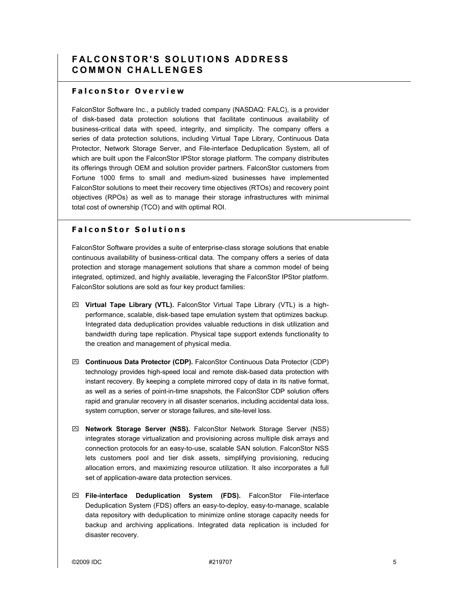## **FALCONSTOR'S SOLUTIONS ADDRESS COMMON CHALLENGES**

### **FalconStor Overview**

FalconStor Software Inc., a publicly traded company (NASDAQ: FALC), is a provider of disk-based data protection solutions that facilitate continuous availability of business-critical data with speed, integrity, and simplicity. The company offers a series of data protection solutions, including Virtual Tape Library, Continuous Data Protector, Network Storage Server, and File-interface Deduplication System, all of which are built upon the FalconStor IPStor storage platform. The company distributes its offerings through OEM and solution provider partners. FalconStor customers from Fortune 1000 firms to small and medium-sized businesses have implemented FalconStor solutions to meet their recovery time objectives (RTOs) and recovery point objectives (RPOs) as well as to manage their storage infrastructures with minimal total cost of ownership (TCO) and with optimal ROI.

### **FalconStor Solutions**

FalconStor Software provides a suite of enterprise-class storage solutions that enable continuous availability of business-critical data. The company offers a series of data protection and storage management solutions that share a common model of being integrated, optimized, and highly available, leveraging the FalconStor IPStor platform. FalconStor solutions are sold as four key product families:

- ` **Virtual Tape Library (VTL).** FalconStor Virtual Tape Library (VTL) is a highperformance, scalable, disk-based tape emulation system that optimizes backup. Integrated data deduplication provides valuable reductions in disk utilization and bandwidth during tape replication. Physical tape support extends functionality to the creation and management of physical media.
- ` **Continuous Data Protector (CDP).** FalconStor Continuous Data Protector (CDP) technology provides high-speed local and remote disk-based data protection with instant recovery. By keeping a complete mirrored copy of data in its native format, as well as a series of point-in-time snapshots, the FalconStor CDP solution offers rapid and granular recovery in all disaster scenarios, including accidental data loss, system corruption, server or storage failures, and site-level loss.
- ` **Network Storage Server (NSS).** FalconStor Network Storage Server (NSS) integrates storage virtualization and provisioning across multiple disk arrays and connection protocols for an easy-to-use, scalable SAN solution. FalconStor NSS lets customers pool and tier disk assets, simplifying provisioning, reducing allocation errors, and maximizing resource utilization. It also incorporates a full set of application-aware data protection services.
- ` **File-interface Deduplication System (FDS).** FalconStor File-interface Deduplication System (FDS) offers an easy-to-deploy, easy-to-manage, scalable data repository with deduplication to minimize online storage capacity needs for backup and archiving applications. Integrated data replication is included for disaster recovery.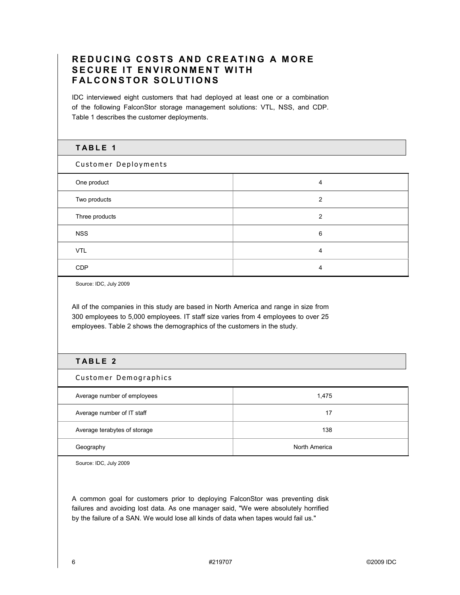## **REDUCING COSTS AND CREATING A MORE SECURE IT ENVIRONMENT WITH FALCONSTOR SOLUTIONS**

IDC interviewed eight customers that had deployed at least one or a combination of the following FalconStor storage management solutions: VTL, NSS, and CDP. Table 1 describes the customer deployments.

### **TABLE 1**

Customer Deployments

| One product    | 4             |
|----------------|---------------|
| Two products   | $\mathcal{P}$ |
| Three products | 2             |
| <b>NSS</b>     | 6             |
| <b>VTL</b>     | 4             |
| <b>CDP</b>     | 4             |

Source: IDC, July 2009

All of the companies in this study are based in North America and range in size from 300 employees to 5,000 employees. IT staff size varies from 4 employees to over 25 employees. Table 2 shows the demographics of the customers in the study.

### **TABLE 2**

Customer Demographics

| Average number of employees  | 1,475         |
|------------------------------|---------------|
| Average number of IT staff   | 17            |
| Average terabytes of storage | 138           |
| Geography                    | North America |

Source: IDC, July 2009

A common goal for customers prior to deploying FalconStor was preventing disk failures and avoiding lost data. As one manager said, "We were absolutely horrified by the failure of a SAN. We would lose all kinds of data when tapes would fail us."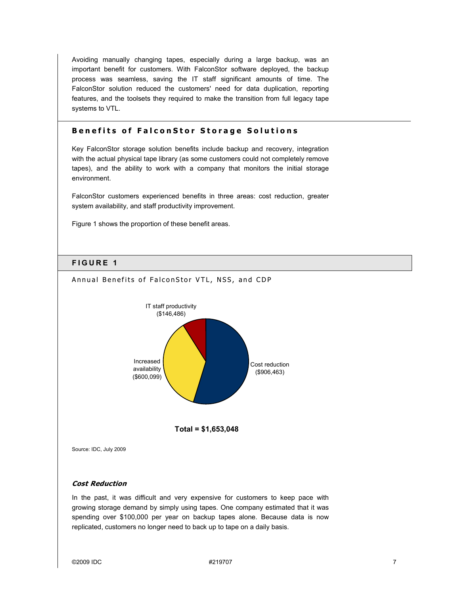Avoiding manually changing tapes, especially during a large backup, was an important benefit for customers. With FalconStor software deployed, the backup process was seamless, saving the IT staff significant amounts of time. The FalconStor solution reduced the customers' need for data duplication, reporting features, and the toolsets they required to make the transition from full legacy tape systems to VTL.

#### **Benefits of FalconStor Storage Solutions**

Key FalconStor storage solution benefits include backup and recovery, integration with the actual physical tape library (as some customers could not completely remove tapes), and the ability to work with a company that monitors the initial storage environment.

FalconStor customers experienced benefits in three areas: cost reduction, greater system availability, and staff productivity improvement.

Figure 1 shows the proportion of these benefit areas.

#### **FIGURE 1**



Annual Benefits of FalconStor VTL, NSS, and CDP

#### **Cost Reduction**

In the past, it was difficult and very expensive for customers to keep pace with growing storage demand by simply using tapes. One company estimated that it was spending over \$100,000 per year on backup tapes alone. Because data is now replicated, customers no longer need to back up to tape on a daily basis.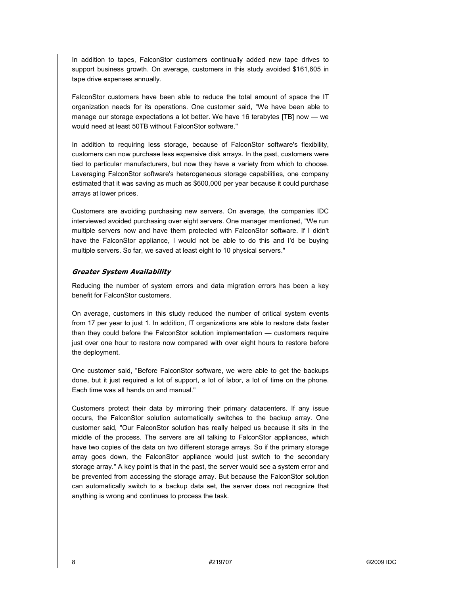In addition to tapes, FalconStor customers continually added new tape drives to support business growth. On average, customers in this study avoided \$161,605 in tape drive expenses annually.

FalconStor customers have been able to reduce the total amount of space the IT organization needs for its operations. One customer said, "We have been able to manage our storage expectations a lot better. We have 16 terabytes [TB] now — we would need at least 50TB without FalconStor software."

In addition to requiring less storage, because of FalconStor software's flexibility, customers can now purchase less expensive disk arrays. In the past, customers were tied to particular manufacturers, but now they have a variety from which to choose. Leveraging FalconStor software's heterogeneous storage capabilities, one company estimated that it was saving as much as \$600,000 per year because it could purchase arrays at lower prices.

Customers are avoiding purchasing new servers. On average, the companies IDC interviewed avoided purchasing over eight servers. One manager mentioned, "We run multiple servers now and have them protected with FalconStor software. If I didn't have the FalconStor appliance, I would not be able to do this and I'd be buying multiple servers. So far, we saved at least eight to 10 physical servers."

#### **Greater System Availability**

Reducing the number of system errors and data migration errors has been a key benefit for FalconStor customers.

On average, customers in this study reduced the number of critical system events from 17 per year to just 1. In addition, IT organizations are able to restore data faster than they could before the FalconStor solution implementation — customers require just over one hour to restore now compared with over eight hours to restore before the deployment.

One customer said, "Before FalconStor software, we were able to get the backups done, but it just required a lot of support, a lot of labor, a lot of time on the phone. Each time was all hands on and manual."

Customers protect their data by mirroring their primary datacenters. If any issue occurs, the FalconStor solution automatically switches to the backup array. One customer said, "Our FalconStor solution has really helped us because it sits in the middle of the process. The servers are all talking to FalconStor appliances, which have two copies of the data on two different storage arrays. So if the primary storage array goes down, the FalconStor appliance would just switch to the secondary storage array." A key point is that in the past, the server would see a system error and be prevented from accessing the storage array. But because the FalconStor solution can automatically switch to a backup data set, the server does not recognize that anything is wrong and continues to process the task.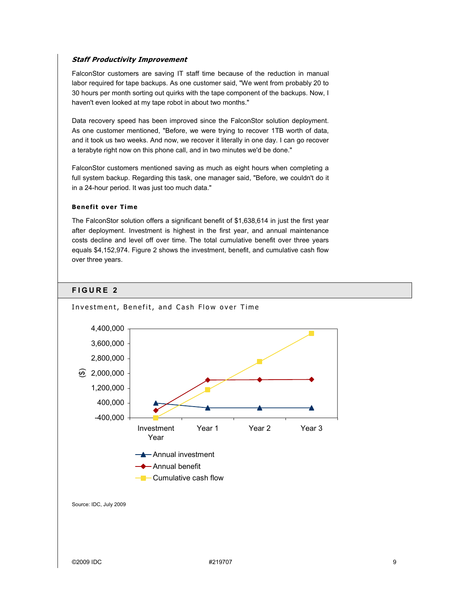#### **Staff Productivity Improvement**

FalconStor customers are saving IT staff time because of the reduction in manual labor required for tape backups. As one customer said, "We went from probably 20 to 30 hours per month sorting out quirks with the tape component of the backups. Now, I haven't even looked at my tape robot in about two months."

Data recovery speed has been improved since the FalconStor solution deployment. As one customer mentioned, "Before, we were trying to recover 1TB worth of data, and it took us two weeks. And now, we recover it literally in one day. I can go recover a terabyte right now on this phone call, and in two minutes we'd be done."

FalconStor customers mentioned saving as much as eight hours when completing a full system backup. Regarding this task, one manager said, "Before, we couldn't do it in a 24-hour period. It was just too much data."

#### **Benefit over Time**

The FalconStor solution offers a significant benefit of \$1,638,614 in just the first year after deployment. Investment is highest in the first year, and annual maintenance costs decline and level off over time. The total cumulative benefit over three years equals \$4,152,974. Figure 2 shows the investment, benefit, and cumulative cash flow over three years.

#### **FIGURE 2**

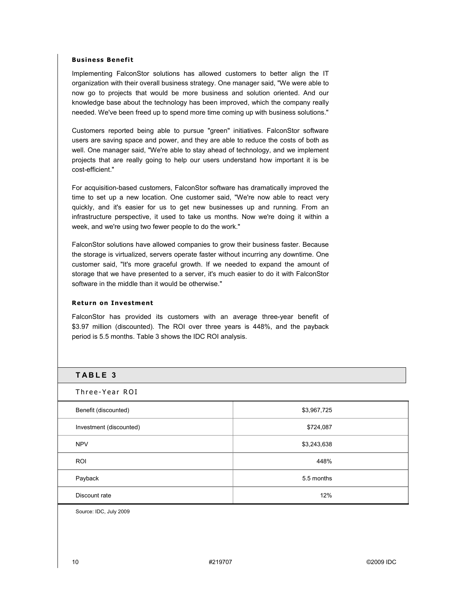#### **Business Benefit**

Implementing FalconStor solutions has allowed customers to better align the IT organization with their overall business strategy. One manager said, "We were able to now go to projects that would be more business and solution oriented. And our knowledge base about the technology has been improved, which the company really needed. We've been freed up to spend more time coming up with business solutions."

Customers reported being able to pursue "green" initiatives. FalconStor software users are saving space and power, and they are able to reduce the costs of both as well. One manager said, "We're able to stay ahead of technology, and we implement projects that are really going to help our users understand how important it is be cost-efficient."

For acquisition-based customers, FalconStor software has dramatically improved the time to set up a new location. One customer said, "We're now able to react very quickly, and it's easier for us to get new businesses up and running. From an infrastructure perspective, it used to take us months. Now we're doing it within a week, and we're using two fewer people to do the work."

FalconStor solutions have allowed companies to grow their business faster. Because the storage is virtualized, servers operate faster without incurring any downtime. One customer said, "It's more graceful growth. If we needed to expand the amount of storage that we have presented to a server, it's much easier to do it with FalconStor software in the middle than it would be otherwise."

#### **Return on Investment**

FalconStor has provided its customers with an average three-year benefit of \$3.97 million (discounted). The ROI over three years is 448%, and the payback period is 5.5 months. Table 3 shows the IDC ROI analysis.

#### **TABLE 3**

Three-Year ROI

| Benefit (discounted)    | \$3,967,725 |
|-------------------------|-------------|
| Investment (discounted) | \$724,087   |
| <b>NPV</b>              | \$3,243,638 |
| <b>ROI</b>              | 448%        |
| Payback                 | 5.5 months  |
| Discount rate           | 12%         |

Source: IDC, July 2009